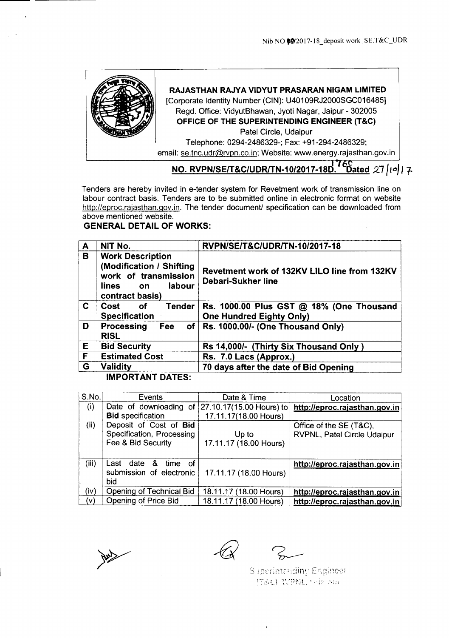

## **RAJASTHAN RAJYA VIDYUT PRASARAN NIGAM LIMITED**

[Corporate Identity Number (CIN): U40109RJ2000SGC016485] Regd. Office: VidyutBhawan, Jyoti Nagar, Jaipur - 302005 **OFFICE OF THE SUPERINTENDING ENGINEER (T&C)**

Patel Circle, Udaipur Telephone: 0294-2486329-; Fax: +91-294-2486329;

email: se.tnc.udr@rvpn.co.in; Website: www.energy.rajasthan.gov.in

# NO. RVPN/SE/T&C/UDR/TN-10/2017-18D. Dated 27/10/17

Tenders are hereby invited in e-tender system for Revetment work of transmission line on labour contract basis. Tenders are to be submitted online in electronic format on website http://eproc.rajasthan.gov.in. The tender document/ specification can be downloaded from above mentioned website.

# **GENERAL DETAIL OF WORKS:**

| A  | NIT No.                                                                                                                  | RVPN/SE/T&C/UDR/TN-10/2017-18                                               |  |  |  |
|----|--------------------------------------------------------------------------------------------------------------------------|-----------------------------------------------------------------------------|--|--|--|
| B  | <b>Work Description</b><br>(Modification / Shifting<br>work of transmission<br>labour<br>lines<br>on.<br>contract basis) | Revetment work of 132KV LILO line from 132KV<br>Debari-Sukher line          |  |  |  |
| C. | <b>Tender</b><br>Cost<br>0f<br><b>Specification</b>                                                                      | Rs. 1000.00 Plus GST @ 18% (One Thousand<br><b>One Hundred Eighty Only)</b> |  |  |  |
| D  | Processing<br>of<br>Fee<br><b>RISL</b>                                                                                   | Rs. 1000.00/- (One Thousand Only)                                           |  |  |  |
| E  | <b>Bid Security</b>                                                                                                      | Rs 14,000/- (Thirty Six Thousand Only)                                      |  |  |  |
| F  | <b>Estimated Cost</b>                                                                                                    | Rs. 7.0 Lacs (Approx.)                                                      |  |  |  |
| G  | <b>Validity</b>                                                                                                          | 70 days after the date of Bid Opening                                       |  |  |  |
|    | IMDADTANT BATEC.                                                                                                         |                                                                             |  |  |  |

**IMPORTANT DATES:**

| S.No. | Events                                          | Date & Time            | Location                      |
|-------|-------------------------------------------------|------------------------|-------------------------------|
| (i)   | Date of downloading of 27.10.17(15.00 Hours) to |                        | http://eproc.rajasthan.gov.in |
|       | <b>Bid specification</b>                        | 17.11.17(18.00 Hours)  |                               |
| (ii)  | Deposit of Cost of Bid                          |                        | Office of the SE (T&C),       |
|       | Specification, Processing                       | Up to                  | RVPNL, Patel Circle Udaipur   |
|       | Fee & Bid Security                              | 17.11.17 (18.00 Hours) |                               |
|       |                                                 |                        |                               |
| (iii) | Last date<br>&<br>time<br>οf                    |                        | http://eproc.rajasthan.gov.in |
|       | submission of electronic                        | 17.11.17 (18.00 Hours) |                               |
|       | bid                                             |                        |                               |
| (iv)  | Opening of Technical Bid                        | 18.11.17 (18.00 Hours) | http://eproc.rajasthan.gov.in |
| (v)   | Opening of Price Bid                            | 18.11.17 (18.00 Hours) | http://eproc.rajasthan.gov.in |

Superintending Engineer 行&C) PNPPNL, 中国Sour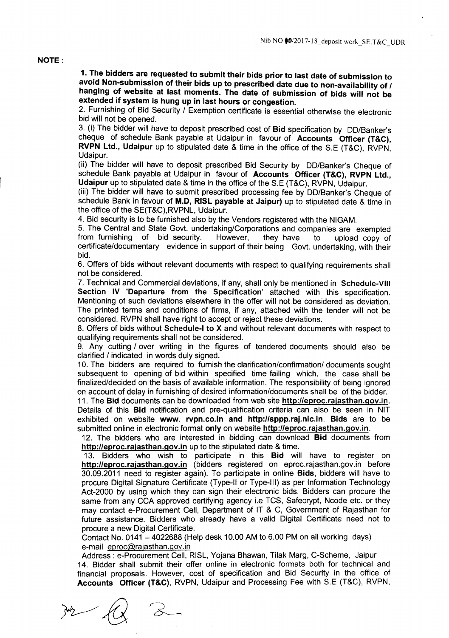#### NOTE:

1. The bidders are requested to submit their bids prior to last date of submission to avoid Non-submission of their bids up to prescribed date due to non-availability of / hanging of website at last moments. The date of submission of bids will not be extended if system is hung up in last hours or congestion.

2. Furnishing of Bid Security / Exemption certificate is essential otherwise the electronic bid will not be opened.

3. (i) The bidder will have to deposit prescribed cost of Bid specification by DO/Banker's cheque of schedule Bank payable at Udaipur in favour of Accounts Officer (T&C), RVPN Ltd., Udaipur up to stipulated date & time in the office of the S.E (T&C), RVPN, Udaipur.

(ii) The bidder will have to deposit prescribed Bid Security by DO/Banker's Cheque of schedule Bank payable at Udaipur in favour of Accounts Officer (T&C), RVPN Ltd., Udaipur up to stipulated date & time in the office of the S.E (T&C), RVPN, Udaipur.

(iii) The bidder will have to submit prescribed processing fee by DO/Banker's Cheque of schedule Bank in favour of M.D. RISL payable at Jaipur) up to stipulated date & time in the office of the SE(T&C),RVPNL, Udaipur.

4. Bid security is to be furnished also by the Vendors registered with the NIGAM.

5. The Central and State Govt. undertaking/Corporations and companies are exempted from furnishing of bid security. However, they have to upload copy of from furnishing of bid security. However, they have to upload copy of certificate/documentary evidence in support of their being Govt. undertaking, with their bid.

6. Offers of bids without relevant documents with respect to qualifying requirements shall not be considered.

7. Technical and Commercial deviations, if any, shall only be mentioned in Schedule-VIII Section IV 'Departure from the Specification' attached with this specification. Mentioning of such deviations elsewhere in the offer will not be considered as deviation. The printed terms and conditions of firms, if any, attached with the tender will not be considered. RVPN shall have right to accept or reject these deviations.

8. Offers of bids without Schedule-I to X and without relevant documents with respect to qualifying requirements shall not be considered.

9. Any cutting / over writing in the figures of tendered documents should also be clarified / indicated in words duly signed.

10. The bidders are required to furnish the clarification/confirmation/ documents sought subsequent to opening of bid within specified time failing which, the case shall be finalized/decided on the basis of available information. The responsibility of being ignored on account of delay in furnishing of desired information/documents shall be of the bidder.

11. The Bid documents can be downloaded from web site http://eproc.rajasthan.gov.in. Details of this Bid notification and pre-qualification criteria can also be seen in NIT exhibited on website www. rypn.co.in and http://sppp.raj.nic.in. Bids are to be submitted online in electronic format only on website http://eproc.rajasthan.gov.in.

12. The bidders who are interested in bidding can download Bid documents from http://eproc.rajasthan.gov.in up to the stipulated date & time.

13. Bidders who wish to participate in this Bid will have to register on http://eproc.rajasthan.gov.in (bidders registered on eproc.rajasthan.gov.in before 30.09.2011 need to register again). To participate in online Bids, bidders will have to procure Digital Signature Certificate (Type-II or Type-III) as per Information Technology Act-2000 by using which they can sign their electronic bids. Bidders can procure the same from any CCA approved certifying agency i.e TCS, Safecrypt, Ncode etc. or they may contact e-Procurement Cell, Department of IT & C, Government of Rajasthan for future assistance. Bidders who already have a valid Digital Certificate need not to procure a new Digital Certificate.

Contact No. 0141 - 4022688 (Help desk 10.00 AM to 6.00 PM on all working days) e-mail eproc@rajasthan.gov.in

Address: e-Procurement Cell, RISL, Yojana Bhawan, Tilak Marg, C-Scheme, Jaipur 14. Bidder shall submit their offer online in electronic formats both for technical and financial proposals. However, cost of specification and Bid Security in the office of Accounts Officer (T&C), RVPN, Udaipur and Processing Fee with S.E (T&C), RVPN,

 $\frac{1}{2}$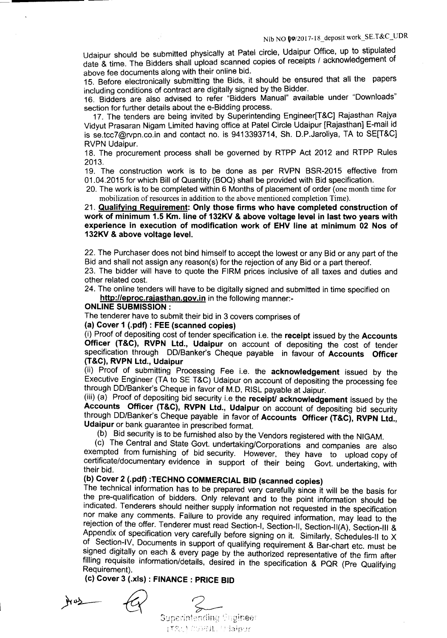Udaipur should be submitted physically at Patel circle, Udaipur Office, up to stipulated date & time. The Bidders shall upload scanned copies of receipts / acknowledgement of above fee documents along with their online bid.

15. Before electronically submitting the Bids, it should be ensured that all the papers including conditions of contract are digitally signed by the Bidder.

16. Bidders are also advised to refer "Bidders Manual" available under "Downloads" section for further details about the e-Bidding process.

17. The tenders are being invited by Superintending Engineer[T&C] Rajasthan Rajya Vidyut Prasaran Nigam Limited having office at Patel Circle Udaipur [Rajasthan] E-mail id is se.tcc7@rvpn.co.in and contact no. is 9413393714, Sh. D.P.Jaroliya, TA to SE[T&C] RVPN Udaipur.

18. The procurement process shall be governed by RTPP Act 2012 and RTPP Rules 2013.

19, The construction work is to be done as per RVPN BSR-2015 effective from 01.04.2015 for which Bill of Quantity (BOQ) shall be provided with Bid specification.

20. The work is to be completed within 6 Months of placement of order (one month time for mobilization of resources in addition to the above mentioned completion Time).

21, Qualifying Requirement: Only those firms who have completed construction of work of minimum 1.5 Km. line of 132KV & above voltage level in last two years with experience in execution of modification work of EHV line at minimum 02 Nos of 132KV & above voltage level.

22. The Purchaser does not bind himself to accept the lowest or any Bid or any part of the Bid and shall not assign any reason(s) for the rejection of any Bid or a part thereof.

23. The bidder will have to quote the FIRM prices inclusive of all taxes and duties and other related cost.

24. The online tenders will have to be digitally signed and submitted in time specified on http://eproc.rajasthan.gov.in in the following manner:-

#### ONLINE SUBMISSION:

The tenderer have to submit their bid in 3 covers comprises of

### (a) Cover 1 (.pdf) : FEE (scanned copies)

(i) Proof of depositing cost of tender specification i.e. the receipt issued by the Accounts Officer (T&C), RVPN Ltd., Udaipur on account of depositing the cost of tender specification through DO/Banker's Cheque payable in favour of Accounts Officer (T&C), RVPN Ltd., Udaipur

(ii) Proof of submitting Processing Fee i.e. the acknowledgement issued by the Executive Engineer (TA to SE T&C) Udaipur on account of depositing the processing fee through DO/Banker's Cheque in favor of M.D, RISL payable at Jaipur.

 $(iii)$  ( $a)$  Proof of depositing bid security i.e the receipt acknowledgement issued by the Accounts Officer (T&C), RVPN Ltd., Udaipur on account of depositing bid security through DD/Banker's Cheque payable in favor of Accounts Officer (T&C), RVPN Ltd., Udaipur or bank guarantee in prescribed format.

(b) Bid security is to be furnished also by the Vendors registered with the NIGAM.

(c) The Central and State Govt. undertaking/Corporations and companies are also exempted from furnishing of bid security. However, they have to upload copy of certificate/documentary evidence in support of their being Govt. undertaking, with their bid.

# (b) Cover 2 (.pdf) :TECHNO COMMERCIAL BID (scanned copies)

The technical information has to be prepared very carefully since it will be the basis for the pre-qualification of bidders. Only relevant and to the point information should be indicated. Tenderers should neither supply information not requested in the specification nor make any comments. Failure to provide any required information, may lead to the rejection of the offer, Tenderer must read Section-I, Section-II, Section-II(A), Section-III & Appendix of specification very carefully before signing on it. Similarly, Schedules-II to X of Section-IV, Documents in support of qualifying requirement & Bar-chart etc. must be signed digitally on each & every page by the authorized representative of the firm after filling requisite information/details, desired in the specification & PQR (Pre Qualifying Requirement).

(c) Cover 3 (.xls) : FINANCE: PRICE BID

 $M^2$ 

Superintending Engineer  $(\hat{\tau}_{\mathcal{S}_i,\cdot})$